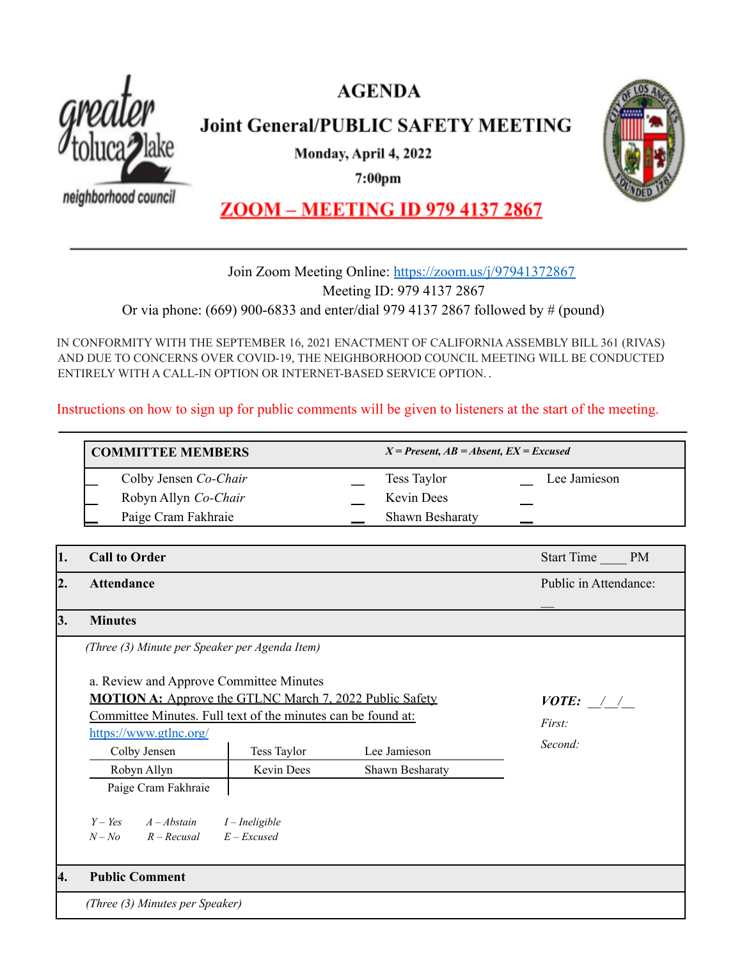



**Joint General/PUBLIC SAFETY MEETING** 

Monday, April 4, 2022

 $7:00<sub>pm</sub>$ 

neighborhood council



## **ZOOM - MEETING ID 979 4137 2867**

### Join Zoom Meeting Online: <https://zoom.us/j/97941372867> Meeting ID: 979 4137 2867 Or via phone: (669) 900-6833 and enter/dial 979 4137 2867 followed by # (pound)

IN CONFORMITY WITH THE SEPTEMBER 16, 2021 ENACTMENT OF CALIFORNIAASSEMBLY BILL 361 (RIVAS) AND DUE TO CONCERNS OVER COVID-19, THE NEIGHBORHOOD COUNCIL MEETING WILL BE CONDUCTED ENTIRELY WITH A CALL-IN OPTION OR INTERNET-BASED SERVICE OPTION. .

Instructions on how to sign up for public comments will be given to listeners at the start of the meeting.

| <b>COMMITTEE MEMBERS</b> |                       |                        | $X = Present, AB = Absent, EX = Excused$ |  |
|--------------------------|-----------------------|------------------------|------------------------------------------|--|
|                          | Colby Jensen Co-Chair | Tess Taylor            | Lee Jamieson                             |  |
|                          | Robyn Allyn Co-Chair  | <b>Kevin Dees</b>      |                                          |  |
|                          | Paige Cram Fakhraie   | <b>Shawn Besharaty</b> |                                          |  |

| 1. | <b>Call to Order</b>                                                                                                                                                                                                                                                                               | Start Time<br><b>PM</b> |  |                                                 |  |  |
|----|----------------------------------------------------------------------------------------------------------------------------------------------------------------------------------------------------------------------------------------------------------------------------------------------------|-------------------------|--|-------------------------------------------------|--|--|
| 2. | <b>Attendance</b>                                                                                                                                                                                                                                                                                  |                         |  | Public in Attendance:                           |  |  |
| 3. | <b>Minutes</b>                                                                                                                                                                                                                                                                                     |                         |  |                                                 |  |  |
|    | (Three (3) Minute per Speaker per Agenda Item)                                                                                                                                                                                                                                                     |                         |  |                                                 |  |  |
|    | a. Review and Approve Committee Minutes<br><b>MOTION A:</b> Approve the GTLNC March 7, 2022 Public Safety<br>Committee Minutes. Full text of the minutes can be found at:<br>https://www.gtlnc.org/<br>Colby Jensen<br>Lee Jamieson<br>Tess Taylor<br>Robyn Allyn<br>Kevin Dees<br>Shawn Besharaty |                         |  | <i>VOTE:</i> $\frac{1}{2}$<br>First:<br>Second: |  |  |
|    | Paige Cram Fakhraie                                                                                                                                                                                                                                                                                |                         |  |                                                 |  |  |
|    | $Y - Yes$ $A - Abstain$<br>$I$ – Ineligible<br>$E$ – Excused<br>$N - No$ $R - Recusal$                                                                                                                                                                                                             |                         |  |                                                 |  |  |
| 4. | <b>Public Comment</b>                                                                                                                                                                                                                                                                              |                         |  |                                                 |  |  |
|    | (Three (3) Minutes per Speaker)                                                                                                                                                                                                                                                                    |                         |  |                                                 |  |  |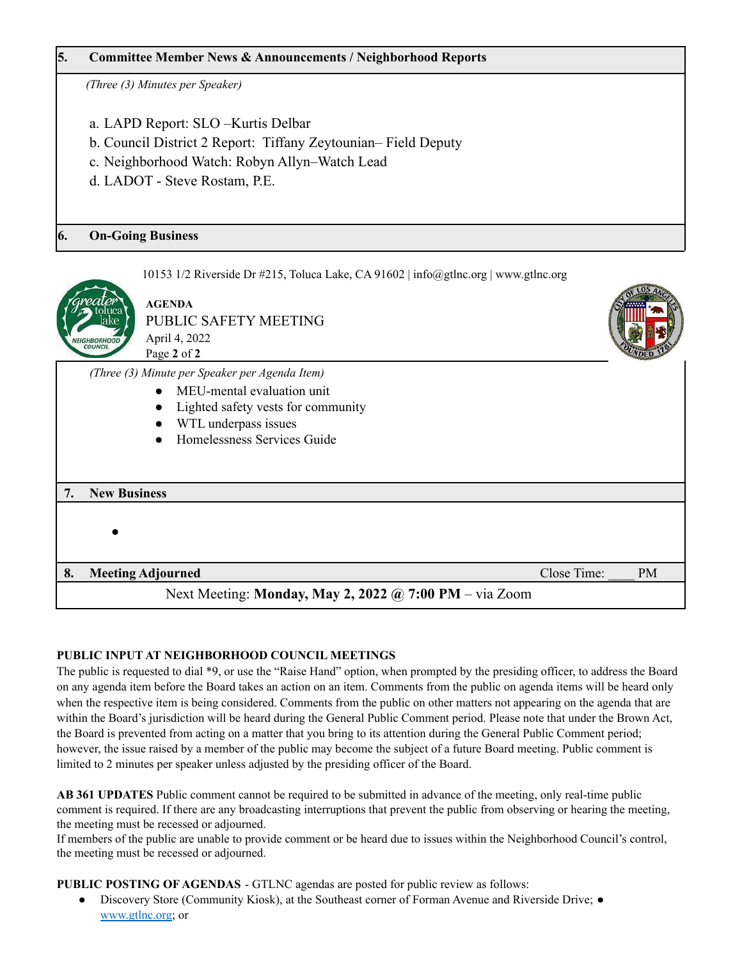#### **5. Committee Member News & Announcements / Neighborhood Reports**

*(Three (3) Minutes per Speaker)*

- a. LAPD Report: SLO –Kurtis Delbar
- b. Council District 2 Report: Tiffany Zeytounian– Field Deputy
- c. Neighborhood Watch: Robyn Allyn–Watch Lead
- d. LADOT Steve Rostam, P.E.

#### **6. On-Going Business**

10153 1/2 Riverside Dr #215, Toluca Lake, CA 91602 | info@gtlnc.org | www.gtlnc.org



**AGENDA** PUBLIC SAFETY MEETING April 4, 2022 Page **2** of **2**

*(Three (3) Minute per Speaker per Agenda Item)*

- MEU-mental evaluation unit
	- Lighted safety vests for community
	- WTL underpass issues
- Homelessness Services Guide

# **7. New Business** ●

**8. Meeting Adjourned Close Time:**  $\bullet$  PM

Next Meeting: **Monday, May 2, 2022 @ 7:00 PM** – via Zoom

#### **PUBLIC INPUT AT NEIGHBORHOOD COUNCIL MEETINGS**

The public is requested to dial \*9, or use the "Raise Hand" option, when prompted by the presiding officer, to address the Board on any agenda item before the Board takes an action on an item. Comments from the public on agenda items will be heard only when the respective item is being considered. Comments from the public on other matters not appearing on the agenda that are within the Board's jurisdiction will be heard during the General Public Comment period. Please note that under the Brown Act, the Board is prevented from acting on a matter that you bring to its attention during the General Public Comment period; however, the issue raised by a member of the public may become the subject of a future Board meeting. Public comment is limited to 2 minutes per speaker unless adjusted by the presiding officer of the Board.

**AB 361 UPDATES** Public comment cannot be required to be submitted in advance of the meeting, only real-time public comment is required. If there are any broadcasting interruptions that prevent the public from observing or hearing the meeting, the meeting must be recessed or adjourned.

If members of the public are unable to provide comment or be heard due to issues within the Neighborhood Council's control, the meeting must be recessed or adjourned.

**PUBLIC POSTING OF AGENDAS** - GTLNC agendas are posted for public review as follows:

Discovery Store (Community Kiosk), at the Southeast corner of Forman Avenue and Riverside Drive; ● [www.gtlnc.org;](http://www.gtlnc.org/) or